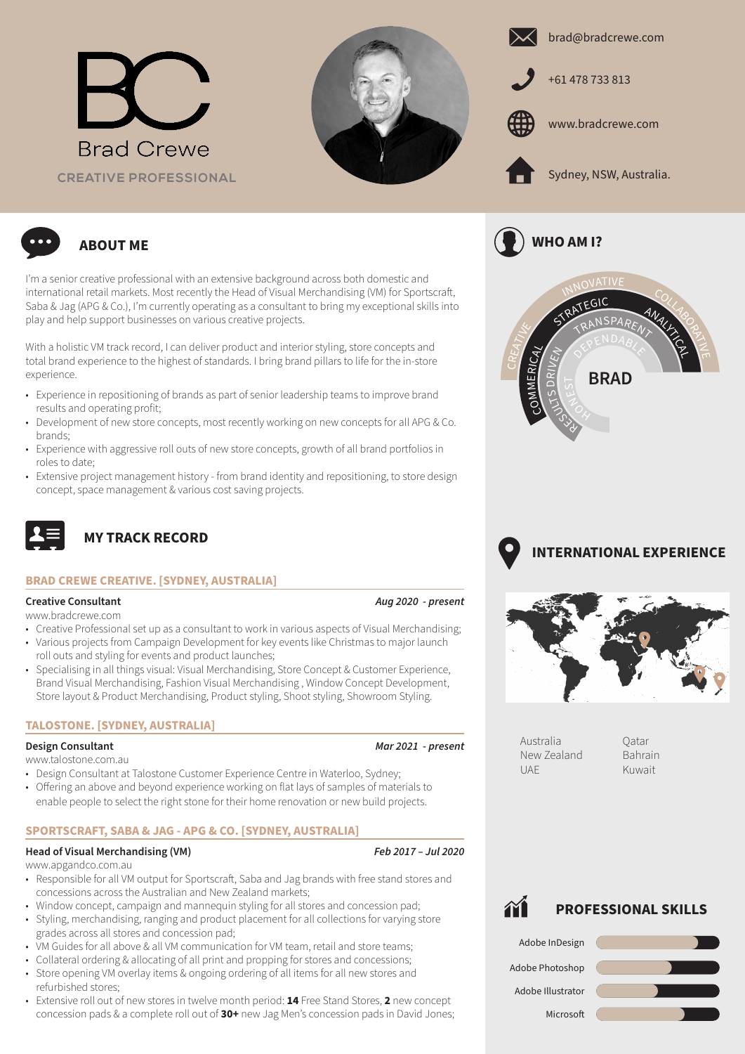







www.bradcrewe.com



**WHO AM I?**



**ABOUT ME**

I'm a senior creative professional with an extensive background across both domestic and international retail markets. Most recently the Head of Visual Merchandising (VM) for Sportscraft, Saba & Jag (APG & Co.), I'm currently operating as a consultant to bring my exceptional skills into play and help support businesses on various creative projects.

With a holistic VM track record, I can deliver product and interior styling, store concepts and total brand experience to the highest of standards. I bring brand pillars to life for the in-store experience.

- Experience in repositioning of brands as part of senior leadership teams to improve brand results and operating profit;
- Development of new store concepts, most recently working on new concepts for all APG & Co. brands;
- Experience with aggressive roll outs of new store concepts, growth of all brand portfolios in roles to date;
- Extensive project management history from brand identity and repositioning, to store design concept, space management & various cost saving projects.



# **MY TRACK RECORD**

## **BRAD CREWE CREATIVE. [SYDNEY, AUSTRALIA]**

## **Creative Consultant** *Aug 2020 - present*

www.bradcrewe.com

- Creative Professional set up as a consultant to work in various aspects of Visual Merchandising;
- Various projects from Campaign Development for key events like Christmas to major launch roll outs and styling for events and product launches;
- Specialising in all things visual: Visual Merchandising, Store Concept & Customer Experience, Brand Visual Merchandising, Fashion Visual Merchandising , Window Concept Development, Store layout & Product Merchandising, Product styling, Shoot styling, Showroom Styling.

## **TALOSTONE. [SYDNEY, AUSTRALIA]**

## **Design Consultant** *Mar 2021 - present*

### www.talostone.com.au

- Design Consultant at Talostone Customer Experience Centre in Waterloo, Sydney;
- Offering an above and beyond experience working on flat lays of samples of materials to enable people to select the right stone for their home renovation or new build projects.

## **SPORTSCRAFT, SABA & JAG - APG & CO. [SYDNEY, AUSTRALIA]**

### **Head of Visual Merchandising (VM)** *Feb 2017 – Jul 2020*

### www.apgandco.com.au

- Responsible for all VM output for Sportscraft, Saba and Jag brands with free stand stores and concessions across the Australian and New Zealand markets;
- Window concept, campaign and mannequin styling for all stores and concession pad;
- Styling, merchandising, ranging and product placement for all collections for varying store grades across all stores and concession pad;
- VM Guides for all above & all VM communication for VM team, retail and store teams;
- Collateral ordering & allocating of all print and propping for stores and concessions; • Store opening VM overlay items & ongoing ordering of all items for all new stores and refurbished stores;
- Extensive roll out of new stores in twelve month period: **14** Free Stand Stores, **2** new concept concession pads & a complete roll out of **30+** new Jag Men's concession pads in David Jones;







Australia New Zealand UAE

Qatar Bahrain Kuwait